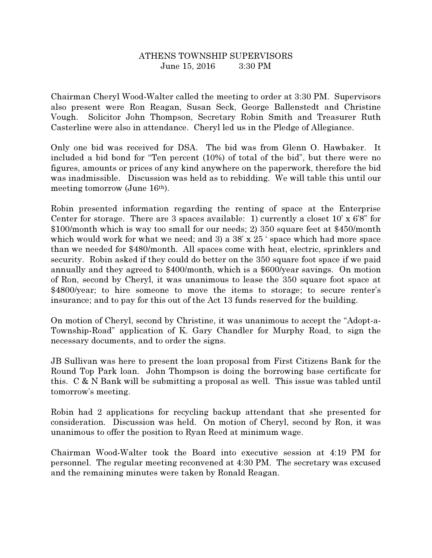## ATHENS TOWNSHIP SUPERVISORS June 15, 2016 3:30 PM

Chairman Cheryl Wood-Walter called the meeting to order at 3:30 PM. Supervisors also present were Ron Reagan, Susan Seck, George Ballenstedt and Christine Vough. Solicitor John Thompson, Secretary Robin Smith and Treasurer Ruth Casterline were also in attendance. Cheryl led us in the Pledge of Allegiance.

Only one bid was received for DSA. The bid was from Glenn O. Hawbaker. It included a bid bond for "Ten percent (10%) of total of the bid", but there were no figures, amounts or prices of any kind anywhere on the paperwork, therefore the bid was inadmissible. Discussion was held as to rebidding. We will table this until our meeting tomorrow (June 16th).

Robin presented information regarding the renting of space at the Enterprise Center for storage. There are 3 spaces available: 1) currently a closet  $10' \times 6'8''$  for \$100/month which is way too small for our needs; 2) 350 square feet at \$450/month which would work for what we need; and 3) a  $38' \times 25'$  space which had more space than we needed for \$480/month. All spaces come with heat, electric, sprinklers and security. Robin asked if they could do better on the 350 square foot space if we paid annually and they agreed to \$400/month, which is a \$600/year savings. On motion of Ron, second by Cheryl, it was unanimous to lease the 350 square foot space at \$4800/year; to hire someone to move the items to storage; to secure renter's insurance; and to pay for this out of the Act 13 funds reserved for the building.

On motion of Cheryl, second by Christine, it was unanimous to accept the "Adopt-a-Township-Road" application of K. Gary Chandler for Murphy Road, to sign the necessary documents, and to order the signs.

JB Sullivan was here to present the loan proposal from First Citizens Bank for the Round Top Park loan. John Thompson is doing the borrowing base certificate for this. C & N Bank will be submitting a proposal as well. This issue was tabled until tomorrow's meeting.

Robin had 2 applications for recycling backup attendant that she presented for consideration. Discussion was held. On motion of Cheryl, second by Ron, it was unanimous to offer the position to Ryan Reed at minimum wage.

Chairman Wood-Walter took the Board into executive session at 4:19 PM for personnel. The regular meeting reconvened at 4:30 PM. The secretary was excused and the remaining minutes were taken by Ronald Reagan.